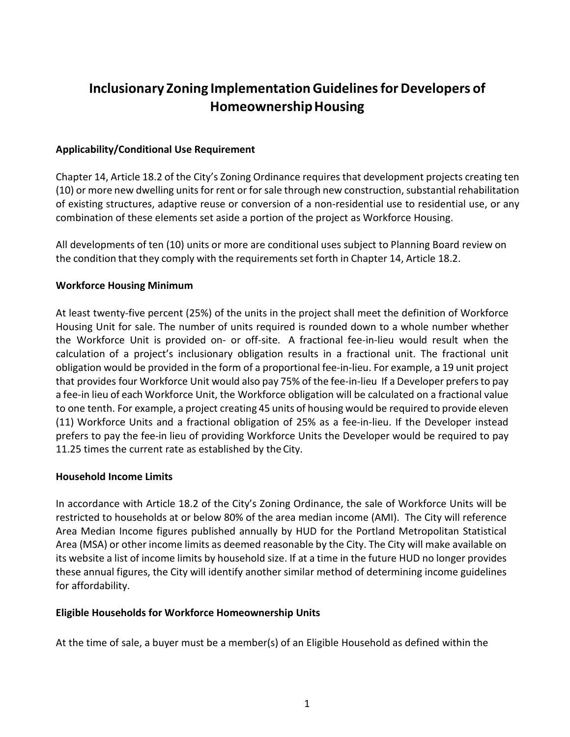# **Inclusionary Zoning ImplementationGuidelinesforDevelopers of HomeownershipHousing**

## **Applicability/Conditional Use Requirement**

Chapter 14, Article 18.2 of the City's Zoning Ordinance requires that development projects creating ten (10) or more new dwelling units for rent or for sale through new construction, substantial rehabilitation of existing structures, adaptive reuse or conversion of a non-residential use to residential use, or any combination of these elements set aside a portion of the project as Workforce Housing.

All developments of ten (10) units or more are conditional uses subject to Planning Board review on the condition that they comply with the requirements set forth in Chapter 14, Article 18.2.

## **Workforce Housing Minimum**

At least twenty-five percent (25%) of the units in the project shall meet the definition of Workforce Housing Unit for sale. The number of units required is rounded down to a whole number whether the Workforce Unit is provided on- or off-site. A fractional fee-in-lieu would result when the calculation of a project's inclusionary obligation results in a fractional unit. The fractional unit obligation would be provided in the form of a proportional fee-in-lieu. For example, a 19 unit project that provides four Workforce Unit would also pay 75% of the fee-in-lieu If a Developer prefersto pay a fee-in lieu of each Workforce Unit, the Workforce obligation will be calculated on a fractional value to one tenth. For example, a project creating 45 units of housing would be required to provide eleven (11) Workforce Units and a fractional obligation of 25% as a fee-in-lieu. If the Developer instead prefers to pay the fee-in lieu of providing Workforce Units the Developer would be required to pay 11.25 times the current rate as established by the City.

# **Household Income Limits**

In accordance with Article 18.2 of the City's Zoning Ordinance, the sale of Workforce Units will be restricted to households at or below 80% of the area median income (AMI). The City will reference Area Median Income figures published annually by HUD for the Portland Metropolitan Statistical Area (MSA) or other income limits as deemed reasonable by the City. The City will make available on its website a list of income limits by household size. If at a time in the future HUD no longer provides these annual figures, the City will identify another similar method of determining income guidelines for affordability.

# **Eligible Households for Workforce Homeownership Units**

At the time of sale, a buyer must be a member(s) of an Eligible Household as defined within the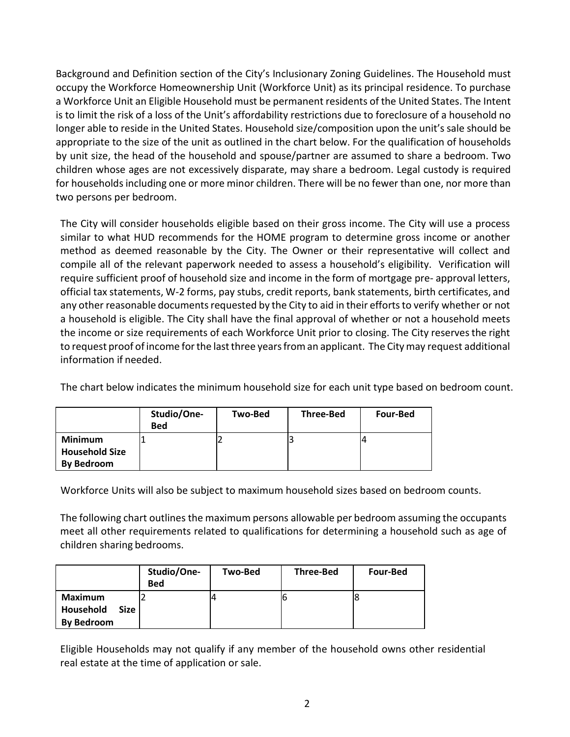Background and Definition section of the City's Inclusionary Zoning Guidelines. The Household must occupy the Workforce Homeownership Unit (Workforce Unit) as its principal residence. To purchase a Workforce Unit an Eligible Household must be permanent residents of the United States. The Intent is to limit the risk of a loss of the Unit's affordability restrictions due to foreclosure of a household no longer able to reside in the United States. Household size/composition upon the unit's sale should be appropriate to the size of the unit as outlined in the chart below. For the qualification of households by unit size, the head of the household and spouse/partner are assumed to share a bedroom. Two children whose ages are not excessively disparate, may share a bedroom. Legal custody is required for households including one or more minor children. There will be no fewer than one, nor more than two persons per bedroom.

The City will consider households eligible based on their gross income. The City will use a process similar to what HUD recommends for the HOME program to determine gross income or another method as deemed reasonable by the City. The Owner or their representative will collect and compile all of the relevant paperwork needed to assess a household's eligibility. Verification will require sufficient proof of household size and income in the form of mortgage pre- approval letters, official tax statements, W-2 forms, pay stubs, credit reports, bank statements, birth certificates, and any other reasonable documents requested by the City to aid in their efforts to verify whether or not a household is eligible. The City shall have the final approval of whether or not a household meets the income or size requirements of each Workforce Unit prior to closing. The City reservesthe right to request proof of income for the last three years from an applicant. The City may request additional information if needed.

The chart below indicates the minimum household size for each unit type based on bedroom count.

|                                                              | Studio/One-<br><b>Bed</b> | Two-Bed | <b>Three-Bed</b> | <b>Four-Bed</b> |
|--------------------------------------------------------------|---------------------------|---------|------------------|-----------------|
| <b>Minimum</b><br><b>Household Size</b><br><b>By Bedroom</b> |                           |         |                  |                 |

Workforce Units will also be subject to maximum household sizes based on bedroom counts.

The following chart outlines the maximum persons allowable per bedroom assuming the occupants meet all other requirements related to qualifications for determining a household such as age of children sharing bedrooms.

|                                                          | Studio/One-<br><b>Bed</b> | Two-Bed | <b>Three-Bed</b> | <b>Four-Bed</b> |
|----------------------------------------------------------|---------------------------|---------|------------------|-----------------|
| Maximum<br>Household<br><b>Size</b><br><b>By Bedroom</b> |                           |         | Ic               |                 |

Eligible Households may not qualify if any member of the household owns other residential real estate at the time of application or sale.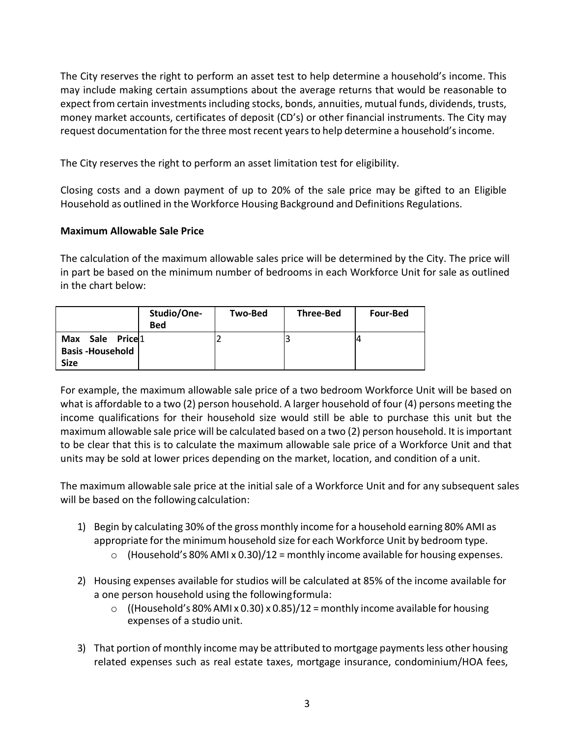The City reserves the right to perform an asset test to help determine a household's income. This may include making certain assumptions about the average returns that would be reasonable to expect from certain investments including stocks, bonds, annuities, mutual funds, dividends, trusts, money market accounts, certificates of deposit (CD's) or other financial instruments. The City may request documentation for the three most recent years to help determine a household's income.

The City reserves the right to perform an asset limitation test for eligibility.

Closing costs and a down payment of up to 20% of the sale price may be gifted to an Eligible Household as outlined in the Workforce Housing Background and Definitions Regulations.

## **Maximum Allowable Sale Price**

The calculation of the maximum allowable sales price will be determined by the City. The price will in part be based on the minimum number of bedrooms in each Workforce Unit for sale as outlined in the chart below:

|                                                                                | Studio/One-<br><b>Bed</b> | Two-Bed | <b>Three-Bed</b> | <b>Four-Bed</b> |
|--------------------------------------------------------------------------------|---------------------------|---------|------------------|-----------------|
| Sale Price <sup>1</sup><br><b>Max</b><br><b>Basis-Household</b><br><b>Size</b> |                           |         |                  |                 |

For example, the maximum allowable sale price of a two bedroom Workforce Unit will be based on what is affordable to a two (2) person household. A larger household of four (4) persons meeting the income qualifications for their household size would still be able to purchase this unit but the maximum allowable sale price will be calculated based on a two (2) person household. It is important to be clear that this is to calculate the maximum allowable sale price of a Workforce Unit and that units may be sold at lower prices depending on the market, location, and condition of a unit.

The maximum allowable sale price at the initial sale of a Workforce Unit and for any subsequent sales will be based on the following calculation:

- 1) Begin by calculating 30% of the gross monthly income for a household earning 80% AMI as appropriate for the minimum household size for each Workforce Unit by bedroom type.
	- $\circ$  (Household's 80% AMI x 0.30)/12 = monthly income available for housing expenses.
- 2) Housing expenses available for studios will be calculated at 85% of the income available for a one person household using the followingformula:
	- $\circ$  ((Household's 80% AMI x 0.30) x 0.85)/12 = monthly income available for housing expenses of a studio unit.
- 3) That portion of monthly income may be attributed to mortgage payments less other housing related expenses such as real estate taxes, mortgage insurance, condominium/HOA fees,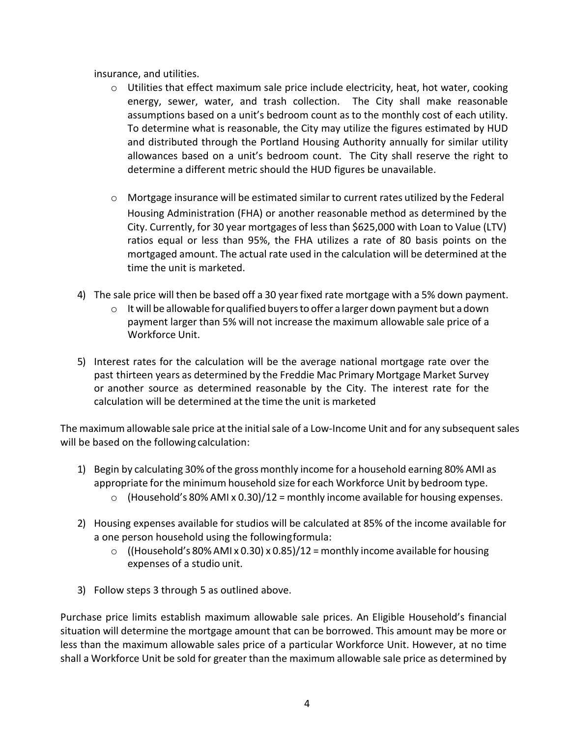insurance, and utilities.

- $\circ$  Utilities that effect maximum sale price include electricity, heat, hot water, cooking energy, sewer, water, and trash collection. The City shall make reasonable assumptions based on a unit's bedroom count as to the monthly cost of each utility. To determine what is reasonable, the City may utilize the figures estimated by HUD and distributed through the Portland Housing Authority annually for similar utility allowances based on a unit's bedroom count. The City shall reserve the right to determine a different metric should the HUD figures be unavailable.
- o Mortgage insurance will be estimated similar to current rates utilized by the Federal Housing Administration (FHA) or another reasonable method as determined by the City. Currently, for 30 year mortgages of less than \$625,000 with Loan to Value (LTV) ratios equal or less than 95%, the FHA utilizes a rate of 80 basis points on the mortgaged amount. The actual rate used in the calculation will be determined at the time the unit is marketed.
- 4) The sale price will then be based off a 30 year fixed rate mortgage with a 5% down payment.
	- $\circ$  It will be allowable for qualified buyers to offer a larger down payment but a down payment larger than 5% will not increase the maximum allowable sale price of a Workforce Unit.
- 5) Interest rates for the calculation will be the average national mortgage rate over the past thirteen years as determined by the Freddie Mac Primary Mortgage Market Survey or another source as determined reasonable by the City. The interest rate for the calculation will be determined at the time the unit is marketed

The maximum allowable sale price at the initial sale of a Low-Income Unit and for any subsequent sales will be based on the following calculation:

- 1) Begin by calculating 30% of the gross monthly income for a household earning 80% AMI as appropriate for the minimum household size for each Workforce Unit by bedroom type.
	- $\circ$  (Household's 80% AMI x 0.30)/12 = monthly income available for housing expenses.
- 2) Housing expenses available for studios will be calculated at 85% of the income available for a one person household using the followingformula:
	- $\circ$  ((Household's 80% AMI x 0.30) x 0.85)/12 = monthly income available for housing expenses of a studio unit.
- 3) Follow steps 3 through 5 as outlined above.

Purchase price limits establish maximum allowable sale prices. An Eligible Household's financial situation will determine the mortgage amount that can be borrowed. This amount may be more or less than the maximum allowable sales price of a particular Workforce Unit. However, at no time shall a Workforce Unit be sold for greater than the maximum allowable sale price as determined by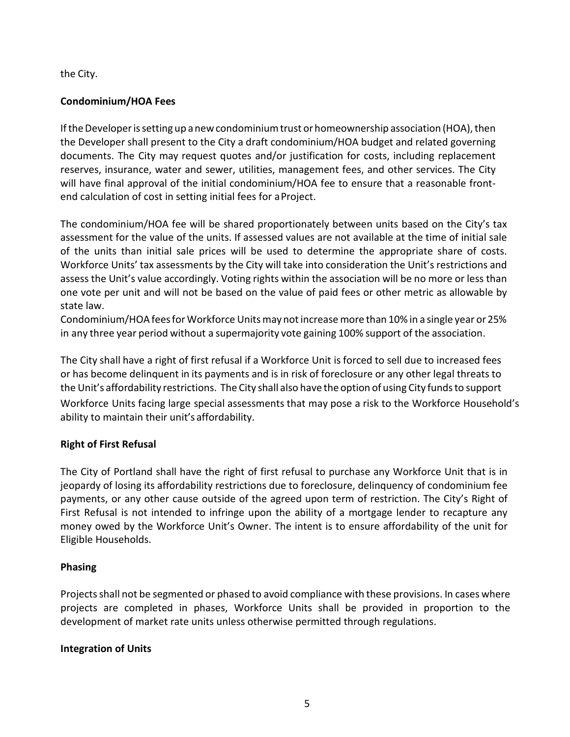the City.

# **Condominium/HOA Fees**

If the Developer is setting up a new condominium trust or homeownership association (HOA), then the Developer shall present to the City a draft condominium/HOA budget and related governing documents. The City may request quotes and/or justification for costs, including replacement reserves, insurance, water and sewer, utilities, management fees, and other services. The City will have final approval of the initial condominium/HOA fee to ensure that a reasonable frontend calculation of cost in setting initial fees for aProject.

The condominium/HOA fee will be shared proportionately between units based on the City's tax assessment for the value of the units. If assessed values are not available at the time of initial sale of the units than initial sale prices will be used to determine the appropriate share of costs. Workforce Units' tax assessments by the City will take into consideration the Unit's restrictions and assess the Unit's value accordingly. Voting rights within the association will be no more or less than one vote per unit and will not be based on the value of paid fees or other metric as allowable by state law.

Condominium/HOA feesfor Workforce Unitsmaynotincreasemore than 10% in a single year or 25% in any three year period without a supermajority vote gaining 100% support of the association.

The City shall have a right of first refusal if a Workforce Unit is forced to sell due to increased fees or has become delinquent in its payments and is in risk of foreclosure or any other legal threats to the Unit's affordability restrictions. The City shall also have the option of using City fundsto support Workforce Units facing large special assessments that may pose a risk to the Workforce Household's ability to maintain their unit's affordability.

# **Right of First Refusal**

The City of Portland shall have the right of first refusal to purchase any Workforce Unit that is in jeopardy of losing its affordability restrictions due to foreclosure, delinquency of condominium fee payments, or any other cause outside of the agreed upon term of restriction. The City's Right of First Refusal is not intended to infringe upon the ability of a mortgage lender to recapture any money owed by the Workforce Unit's Owner. The intent is to ensure affordability of the unit for Eligible Households.

# **Phasing**

Projects shall not be segmented or phased to avoid compliance with these provisions. In cases where projects are completed in phases, Workforce Units shall be provided in proportion to the development of market rate units unless otherwise permitted through regulations.

# **Integration of Units**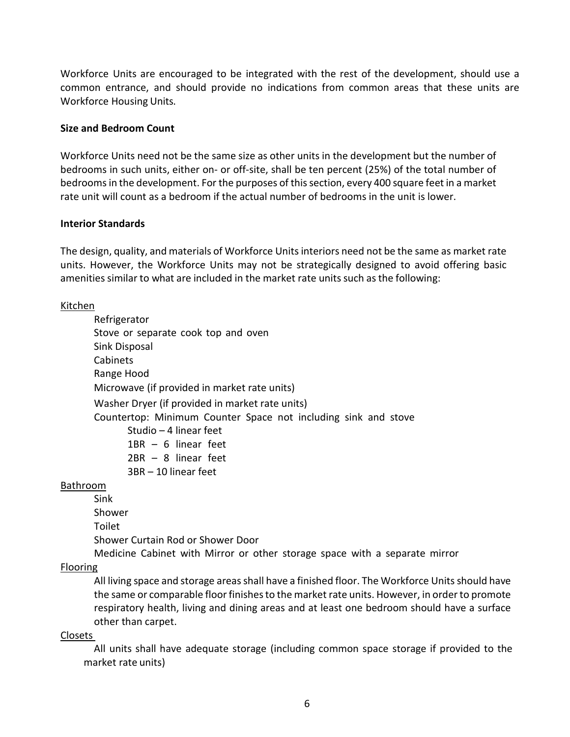Workforce Units are encouraged to be integrated with the rest of the development, should use a common entrance, and should provide no indications from common areas that these units are Workforce Housing Units.

## **Size and Bedroom Count**

Workforce Units need not be the same size as other units in the development but the number of bedrooms in such units, either on- or off-site, shall be ten percent (25%) of the total number of bedrooms in the development. For the purposes of this section, every 400 square feet in a market rate unit will count as a bedroom if the actual number of bedrooms in the unit is lower.

#### **Interior Standards**

The design, quality, and materials of Workforce Unitsinteriors need not be the same as market rate units. However, the Workforce Units may not be strategically designed to avoid offering basic amenities similar to what are included in the market rate units such as the following:

#### Kitchen

Refrigerator Stove or separate cook top and oven Sink Disposal Cabinets Range Hood Microwave (if provided in market rate units) Washer Dryer (if provided in market rate units) Countertop: Minimum Counter Space not including sink and stove Studio – 4 linear feet 1BR – 6 linear feet 2BR – 8 linear feet 3BR – 10 linear feet

## Bathroom

Sink

Shower

Toilet

Shower Curtain Rod or Shower Door

Medicine Cabinet with Mirror or other storage space with a separate mirror

## Flooring

All living space and storage areas shall have a finished floor. The Workforce Units should have the same or comparable floor finishes to the market rate units. However, in order to promote respiratory health, living and dining areas and at least one bedroom should have a surface other than carpet.

## Closets

 All units shall have adequate storage (including common space storage if provided to the market rate units)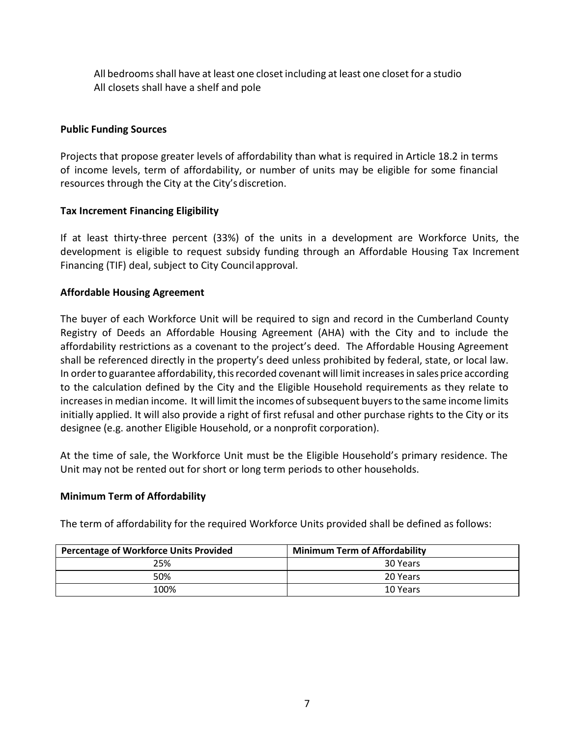All bedrooms shall have at least one closet including at least one closet for a studio All closets shall have a shelf and pole

## **Public Funding Sources**

Projects that propose greater levels of affordability than what is required in Article 18.2 in terms of income levels, term of affordability, or number of units may be eligible for some financial resources through the City at the City'sdiscretion.

## **Tax Increment Financing Eligibility**

If at least thirty-three percent (33%) of the units in a development are Workforce Units, the development is eligible to request subsidy funding through an Affordable Housing Tax Increment Financing (TIF) deal, subject to City Council approval.

## **Affordable Housing Agreement**

The buyer of each Workforce Unit will be required to sign and record in the Cumberland County Registry of Deeds an Affordable Housing Agreement (AHA) with the City and to include the affordability restrictions as a covenant to the project's deed. The Affordable Housing Agreement shall be referenced directly in the property's deed unless prohibited by federal, state, or local law. In order to guarantee affordability, this recorded covenant will limit increases in sales price according to the calculation defined by the City and the Eligible Household requirements as they relate to increases in median income. It will limit the incomes of subsequent buyers to the same income limits initially applied. It will also provide a right of first refusal and other purchase rights to the City or its designee (e.g. another Eligible Household, or a nonprofit corporation).

At the time of sale, the Workforce Unit must be the Eligible Household's primary residence. The Unit may not be rented out for short or long term periods to other households.

## **Minimum Term of Affordability**

The term of affordability for the required Workforce Units provided shall be defined as follows:

| <b>Percentage of Workforce Units Provided</b> | <b>Minimum Term of Affordability</b> |
|-----------------------------------------------|--------------------------------------|
| 25%                                           | 30 Years                             |
| 50%                                           | 20 Years                             |
| 100%                                          | 10 Years                             |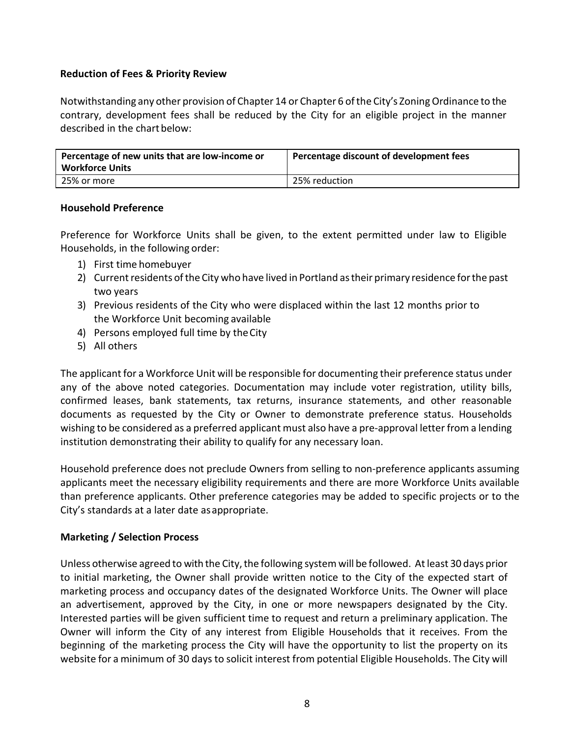## **Reduction of Fees & Priority Review**

Notwithstanding any other provision of Chapter 14 or Chapter 6 of the City's Zoning Ordinance to the contrary, development fees shall be reduced by the City for an eligible project in the manner described in the chart below:

| Percentage of new units that are low-income or<br><b>Workforce Units</b> | Percentage discount of development fees |
|--------------------------------------------------------------------------|-----------------------------------------|
| 25% or more                                                              | 25% reduction                           |

## **Household Preference**

Preference for Workforce Units shall be given, to the extent permitted under law to Eligible Households, in the following order:

- 1) First time homebuyer
- 2) Current residents of the City who have lived in Portland as their primary residence for the past two years
- 3) Previous residents of the City who were displaced within the last 12 months prior to the Workforce Unit becoming available
- 4) Persons employed full time by theCity
- 5) All others

The applicant for a Workforce Unit will be responsible for documenting their preference status under any of the above noted categories. Documentation may include voter registration, utility bills, confirmed leases, bank statements, tax returns, insurance statements, and other reasonable documents as requested by the City or Owner to demonstrate preference status. Households wishing to be considered as a preferred applicant must also have a pre-approval letter from a lending institution demonstrating their ability to qualify for any necessary loan.

Household preference does not preclude Owners from selling to non-preference applicants assuming applicants meet the necessary eligibility requirements and there are more Workforce Units available than preference applicants. Other preference categories may be added to specific projects or to the City's standards at a later date asappropriate.

# **Marketing / Selection Process**

Unless otherwise agreed to with the City, the following system will be followed. At least 30 days prior to initial marketing, the Owner shall provide written notice to the City of the expected start of marketing process and occupancy dates of the designated Workforce Units. The Owner will place an advertisement, approved by the City, in one or more newspapers designated by the City. Interested parties will be given sufficient time to request and return a preliminary application. The Owner will inform the City of any interest from Eligible Households that it receives. From the beginning of the marketing process the City will have the opportunity to list the property on its website for a minimum of 30 days to solicit interest from potential Eligible Households. The City will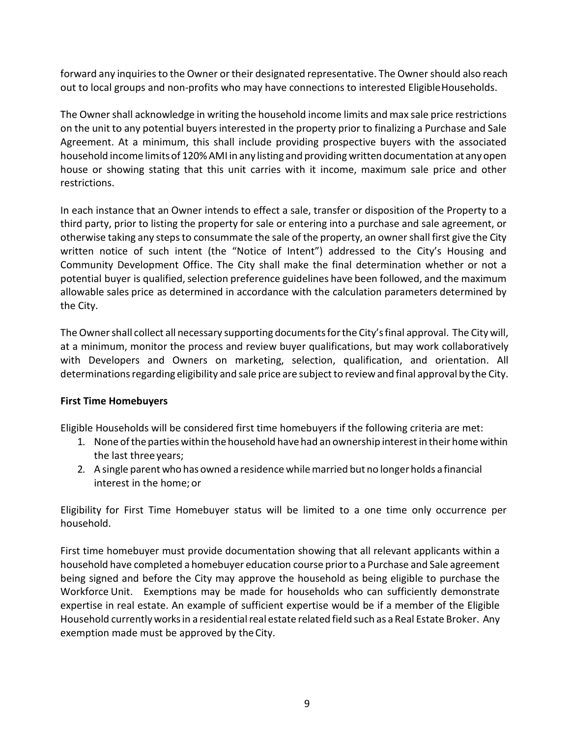forward any inquiries to the Owner or their designated representative. The Owner should also reach out to local groups and non-profits who may have connections to interested EligibleHouseholds.

The Owner shall acknowledge in writing the household income limits and max sale price restrictions on the unit to any potential buyers interested in the property prior to finalizing a Purchase and Sale Agreement. At a minimum, this shall include providing prospective buyers with the associated household income limitsof 120%AMI in any listing and providing written documentation at anyopen house or showing stating that this unit carries with it income, maximum sale price and other restrictions.

In each instance that an Owner intends to effect a sale, transfer or disposition of the Property to a third party, prior to listing the property for sale or entering into a purchase and sale agreement, or otherwise taking any stepsto consummate the sale of the property, an ownershall first give the City written notice of such intent (the "Notice of Intent") addressed to the City's Housing and Community Development Office. The City shall make the final determination whether or not a potential buyer is qualified, selection preference guidelines have been followed, and the maximum allowable sales price as determined in accordance with the calculation parameters determined by the City.

The Owner shall collect all necessary supporting documents for the City's final approval. The City will, at a minimum, monitor the process and review buyer qualifications, but may work collaboratively with Developers and Owners on marketing, selection, qualification, and orientation. All determinations regarding eligibility and sale price are subject to review and final approval by the City.

# **First Time Homebuyers**

Eligible Households will be considered first time homebuyers if the following criteria are met:

- 1. None ofthe parties within the household have had an ownership interestin their home within the last three years;
- 2. A single parent who has owned a residence whilemarried but no longerholds a financial interest in the home; or

Eligibility for First Time Homebuyer status will be limited to a one time only occurrence per household.

First time homebuyer must provide documentation showing that all relevant applicants within a household have completed a homebuyer education course priorto a Purchase and Sale agreement being signed and before the City may approve the household as being eligible to purchase the Workforce Unit. Exemptions may be made for households who can sufficiently demonstrate expertise in real estate. An example of sufficient expertise would be if a member of the Eligible Household currently works in a residential real estate related field such as a Real Estate Broker. Any exemption made must be approved by theCity.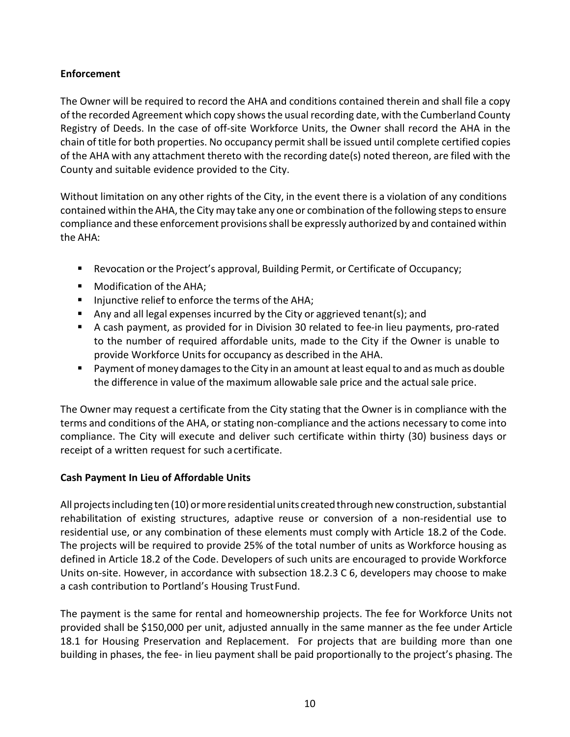# **Enforcement**

The Owner will be required to record the AHA and conditions contained therein and shall file a copy of the recorded Agreement which copy shows the usual recording date, with the Cumberland County Registry of Deeds. In the case of off-site Workforce Units, the Owner shall record the AHA in the chain of title for both properties. No occupancy permit shall be issued until complete certified copies of the AHA with any attachment thereto with the recording date(s) noted thereon, are filed with the County and suitable evidence provided to the City.

Without limitation on any other rights of the City, in the event there is a violation of any conditions contained within the AHA, the City may take any one or combination of the following steps to ensure compliance and these enforcement provisions shall be expressly authorized by and contained within the AHA:

- Revocation or the Project's approval, Building Permit, or Certificate of Occupancy;
- **Modification of the AHA;**
- **Injunctive relief to enforce the terms of the AHA;**
- Any and all legal expenses incurred by the City or aggrieved tenant(s); and
- A cash payment, as provided for in Division 30 related to fee-in lieu payments, pro-rated to the number of required affordable units, made to the City if the Owner is unable to provide Workforce Units for occupancy as described in the AHA.
- **Payment of money damages to the City in an amount at least equal to and as much as double** the difference in value of the maximum allowable sale price and the actual sale price.

The Owner may request a certificate from the City stating that the Owner is in compliance with the terms and conditions of the AHA, or stating non-compliance and the actions necessary to come into compliance. The City will execute and deliver such certificate within thirty (30) business days or receipt of a written request for such acertificate.

# **Cash Payment In Lieu of Affordable Units**

All projects including ten (10) or more residential units created through new construction, substantial rehabilitation of existing structures, adaptive reuse or conversion of a non-residential use to residential use, or any combination of these elements must comply with Article 18.2 of the Code. The projects will be required to provide 25% of the total number of units as Workforce housing as defined in Article 18.2 of the Code. Developers of such units are encouraged to provide Workforce Units on-site. However, in accordance with subsection 18.2.3 C 6, developers may choose to make a cash contribution to Portland's Housing Trust Fund.

The payment is the same for rental and homeownership projects. The fee for Workforce Units not provided shall be \$150,000 per unit, adjusted annually in the same manner as the fee under Article 18.1 for Housing Preservation and Replacement. For projects that are building more than one building in phases, the fee- in lieu payment shall be paid proportionally to the project's phasing. The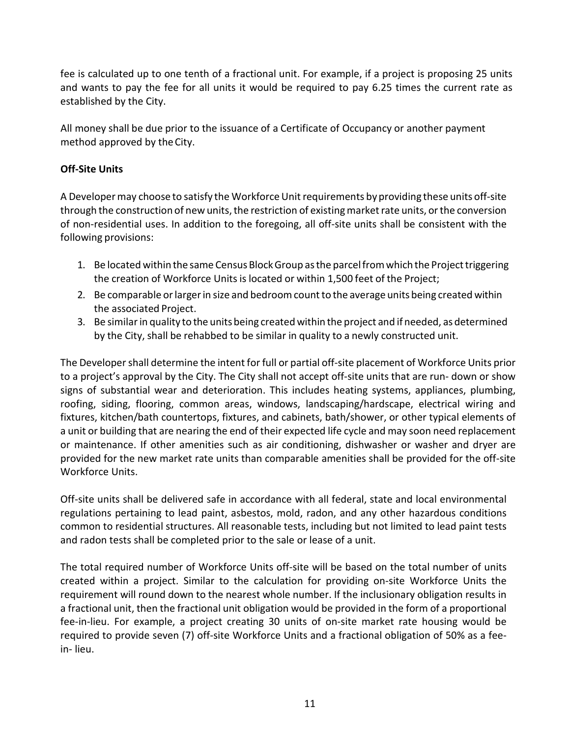fee is calculated up to one tenth of a fractional unit. For example, if a project is proposing 25 units and wants to pay the fee for all units it would be required to pay 6.25 times the current rate as established by the City.

All money shall be due prior to the issuance of a Certificate of Occupancy or another payment method approved by the City.

# **Off-Site Units**

A Developer may choose to satisfy the Workforce Unit requirements by providing these units off-site through the construction of new units, the restriction of existing market rate units, or the conversion of non-residential uses. In addition to the foregoing, all off-site units shall be consistent with the following provisions:

- 1. Be located within the same Census BlockGroup asthe parcelfromwhich the Projecttriggering the creation of Workforce Units is located or within 1,500 feet of the Project;
- 2. Be comparable or larger in size and bedroom count to the average units being created within the associated Project.
- 3. Be similar in quality to the units being created within the project and if needed, as determined by the City, shall be rehabbed to be similar in quality to a newly constructed unit.

The Developer shall determine the intent for full or partial off-site placement of Workforce Units prior to a project's approval by the City. The City shall not accept off-site units that are run- down or show signs of substantial wear and deterioration. This includes heating systems, appliances, plumbing, roofing, siding, flooring, common areas, windows, landscaping/hardscape, electrical wiring and fixtures, kitchen/bath countertops, fixtures, and cabinets, bath/shower, or other typical elements of a unit or building that are nearing the end of their expected life cycle and may soon need replacement or maintenance. If other amenities such as air conditioning, dishwasher or washer and dryer are provided for the new market rate units than comparable amenities shall be provided for the off-site Workforce Units.

Off-site units shall be delivered safe in accordance with all federal, state and local environmental regulations pertaining to lead paint, asbestos, mold, radon, and any other hazardous conditions common to residential structures. All reasonable tests, including but not limited to lead paint tests and radon tests shall be completed prior to the sale or lease of a unit.

The total required number of Workforce Units off-site will be based on the total number of units created within a project. Similar to the calculation for providing on-site Workforce Units the requirement will round down to the nearest whole number. If the inclusionary obligation results in a fractional unit, then the fractional unit obligation would be provided in the form of a proportional fee-in-lieu. For example, a project creating 30 units of on-site market rate housing would be required to provide seven (7) off-site Workforce Units and a fractional obligation of 50% as a feein- lieu.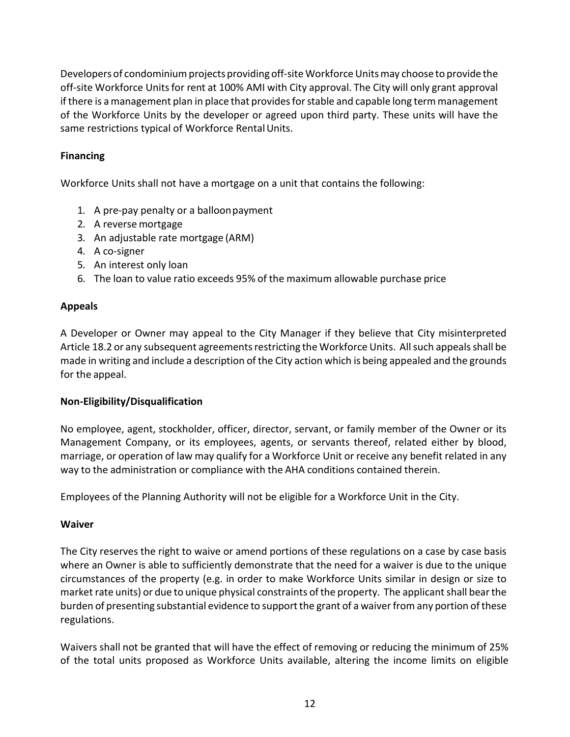Developers of condominium projects providing off-site Workforce Units may choose to provide the off-site Workforce Units for rent at 100% AMI with City approval. The City will only grant approval if there is a management plan in place that provides for stable and capable long term management of the Workforce Units by the developer or agreed upon third party. These units will have the same restrictions typical of Workforce Rental Units.

# **Financing**

Workforce Units shall not have a mortgage on a unit that contains the following:

- 1. A pre-pay penalty or a balloonpayment
- 2. A reverse mortgage
- 3. An adjustable rate mortgage (ARM)
- 4. A co-signer
- 5. An interest only loan
- 6. The loan to value ratio exceeds 95% of the maximum allowable purchase price

# **Appeals**

A Developer or Owner may appeal to the City Manager if they believe that City misinterpreted Article 18.2 or any subsequent agreements restricting the Workforce Units. All such appeals shall be made in writing and include a description of the City action which is being appealed and the grounds for the appeal.

# **Non-Eligibility/Disqualification**

No employee, agent, stockholder, officer, director, servant, or family member of the Owner or its Management Company, or its employees, agents, or servants thereof, related either by blood, marriage, or operation of law may qualify for a Workforce Unit or receive any benefit related in any way to the administration or compliance with the AHA conditions contained therein.

Employees of the Planning Authority will not be eligible for a Workforce Unit in the City.

# **Waiver**

The City reserves the right to waive or amend portions of these regulations on a case by case basis where an Owner is able to sufficiently demonstrate that the need for a waiver is due to the unique circumstances of the property (e.g. in order to make Workforce Units similar in design or size to market rate units) or due to unique physical constraints of the property. The applicant shall bear the burden of presenting substantial evidence to support the grant of a waiver from any portion of these regulations.

Waivers shall not be granted that will have the effect of removing or reducing the minimum of 25% of the total units proposed as Workforce Units available, altering the income limits on eligible